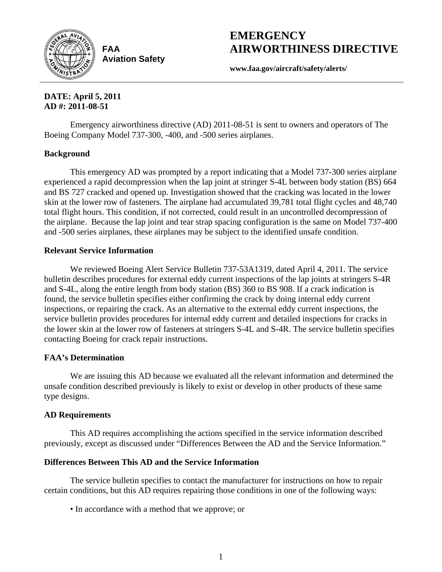

**FAA Aviation Safety**

# **EMERGENCY AIRWORTHINESS DIRECTIVE**

**www.faa.gov/aircraft/safety/alerts/** 

### **DATE: April 5, 2011 AD #: 2011-08-51**

Emergency airworthiness directive (AD) 2011-08-51 is sent to owners and operators of The Boeing Company Model 737-300, -400, and -500 series airplanes.

# **Background**

This emergency AD was prompted by a report indicating that a Model 737-300 series airplane experienced a rapid decompression when the lap joint at stringer S-4L between body station (BS) 664 and BS 727 cracked and opened up. Investigation showed that the cracking was located in the lower skin at the lower row of fasteners. The airplane had accumulated 39,781 total flight cycles and 48,740 total flight hours. This condition, if not corrected, could result in an uncontrolled decompression of the airplane. Because the lap joint and tear strap spacing configuration is the same on Model 737-400 and -500 series airplanes, these airplanes may be subject to the identified unsafe condition.

# **Relevant Service Information**

We reviewed Boeing Alert Service Bulletin 737-53A1319, dated April 4, 2011. The service bulletin describes procedures for external eddy current inspections of the lap joints at stringers S-4R and S-4L, along the entire length from body station (BS) 360 to BS 908. If a crack indication is found, the service bulletin specifies either confirming the crack by doing internal eddy current inspections, or repairing the crack. As an alternative to the external eddy current inspections, the service bulletin provides procedures for internal eddy current and detailed inspections for cracks in the lower skin at the lower row of fasteners at stringers S-4L and S-4R. The service bulletin specifies contacting Boeing for crack repair instructions.

# **FAA's Determination**

We are issuing this AD because we evaluated all the relevant information and determined the unsafe condition described previously is likely to exist or develop in other products of these same type designs.

# **AD Requirements**

This AD requires accomplishing the actions specified in the service information described previously, except as discussed under "Differences Between the AD and the Service Information."

# **Differences Between This AD and the Service Information**

The service bulletin specifies to contact the manufacturer for instructions on how to repair certain conditions, but this AD requires repairing those conditions in one of the following ways:

• In accordance with a method that we approve; or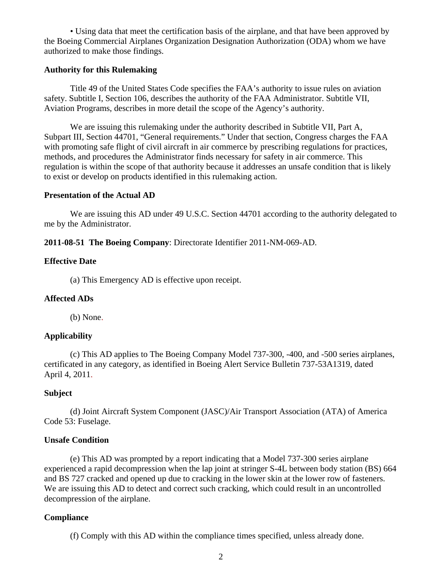• Using data that meet the certification basis of the airplane, and that have been approved by the Boeing Commercial Airplanes Organization Designation Authorization (ODA) whom we have authorized to make those findings.

#### **Authority for this Rulemaking**

Title 49 of the United States Code specifies the FAA's authority to issue rules on aviation safety. Subtitle I, Section 106, describes the authority of the FAA Administrator. Subtitle VII, Aviation Programs, describes in more detail the scope of the Agency's authority.

We are issuing this rulemaking under the authority described in Subtitle VII, Part A, Subpart III, Section 44701, "General requirements." Under that section, Congress charges the FAA with promoting safe flight of civil aircraft in air commerce by prescribing regulations for practices, methods, and procedures the Administrator finds necessary for safety in air commerce. This regulation is within the scope of that authority because it addresses an unsafe condition that is likely to exist or develop on products identified in this rulemaking action.

#### **Presentation of the Actual AD**

We are issuing this AD under 49 U.S.C. Section 44701 according to the authority delegated to me by the Administrator.

**2011-08-51 The Boeing Company**: Directorate Identifier 2011-NM-069-AD.

#### **Effective Date**

(a) This Emergency AD is effective upon receipt.

#### **Affected ADs**

(b) None.

#### **Applicability**

(c) This AD applies to The Boeing Company Model 737-300, -400, and -500 series airplanes, certificated in any category, as identified in Boeing Alert Service Bulletin 737-53A1319, dated April 4, 2011.

#### **Subject**

(d) Joint Aircraft System Component (JASC)/Air Transport Association (ATA) of America Code 53: Fuselage.

#### **Unsafe Condition**

(e) This AD was prompted by a report indicating that a Model 737-300 series airplane experienced a rapid decompression when the lap joint at stringer S-4L between body station (BS) 664 and BS 727 cracked and opened up due to cracking in the lower skin at the lower row of fasteners. We are issuing this AD to detect and correct such cracking, which could result in an uncontrolled decompression of the airplane.

#### **Compliance**

(f) Comply with this AD within the compliance times specified, unless already done.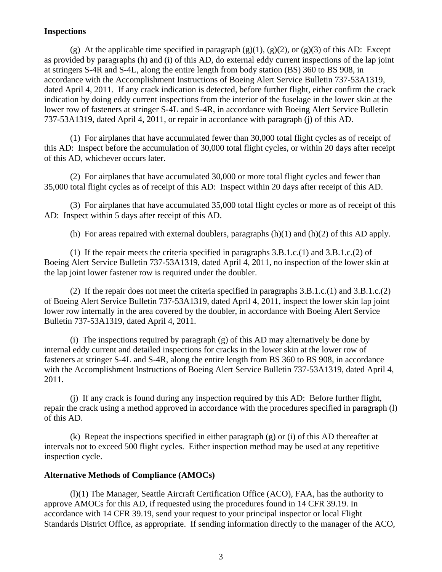#### **Inspections**

(g) At the applicable time specified in paragraph  $(g)(1)$ ,  $(g)(2)$ , or  $(g)(3)$  of this AD: Except as provided by paragraphs (h) and (i) of this AD, do external eddy current inspections of the lap joint at stringers S-4R and S-4L, along the entire length from body station (BS) 360 to BS 908, in accordance with the Accomplishment Instructions of Boeing Alert Service Bulletin 737-53A1319, dated April 4, 2011. If any crack indication is detected, before further flight, either confirm the crack indication by doing eddy current inspections from the interior of the fuselage in the lower skin at the lower row of fasteners at stringer S-4L and S-4R, in accordance with Boeing Alert Service Bulletin 737-53A1319, dated April 4, 2011, or repair in accordance with paragraph (j) of this AD.

 (1) For airplanes that have accumulated fewer than 30,000 total flight cycles as of receipt of this AD: Inspect before the accumulation of 30,000 total flight cycles, or within 20 days after receipt of this AD, whichever occurs later.

 (2) For airplanes that have accumulated 30,000 or more total flight cycles and fewer than 35,000 total flight cycles as of receipt of this AD: Inspect within 20 days after receipt of this AD.

 (3) For airplanes that have accumulated 35,000 total flight cycles or more as of receipt of this AD: Inspect within 5 days after receipt of this AD.

(h) For areas repaired with external doublers, paragraphs  $(h)(1)$  and  $(h)(2)$  of this AD apply.

 (1) If the repair meets the criteria specified in paragraphs 3.B.1.c.(1) and 3.B.1.c.(2) of Boeing Alert Service Bulletin 737-53A1319, dated April 4, 2011, no inspection of the lower skin at the lap joint lower fastener row is required under the doubler.

 (2) If the repair does not meet the criteria specified in paragraphs 3.B.1.c.(1) and 3.B.1.c.(2) of Boeing Alert Service Bulletin 737-53A1319, dated April 4, 2011, inspect the lower skin lap joint lower row internally in the area covered by the doubler, in accordance with Boeing Alert Service Bulletin 737-53A1319, dated April 4, 2011.

(i) The inspections required by paragraph (g) of this AD may alternatively be done by internal eddy current and detailed inspections for cracks in the lower skin at the lower row of fasteners at stringer S-4L and S-4R, along the entire length from BS 360 to BS 908, in accordance with the Accomplishment Instructions of Boeing Alert Service Bulletin 737-53A1319, dated April 4, 2011.

(j) If any crack is found during any inspection required by this AD: Before further flight, repair the crack using a method approved in accordance with the procedures specified in paragraph (l) of this AD.

 (k) Repeat the inspections specified in either paragraph (g) or (i) of this AD thereafter at intervals not to exceed 500 flight cycles. Either inspection method may be used at any repetitive inspection cycle.

#### **Alternative Methods of Compliance (AMOCs)**

(l)(1) The Manager, Seattle Aircraft Certification Office (ACO), FAA, has the authority to approve AMOCs for this AD, if requested using the procedures found in 14 CFR 39.19. In accordance with 14 CFR 39.19, send your request to your principal inspector or local Flight Standards District Office, as appropriate. If sending information directly to the manager of the ACO,